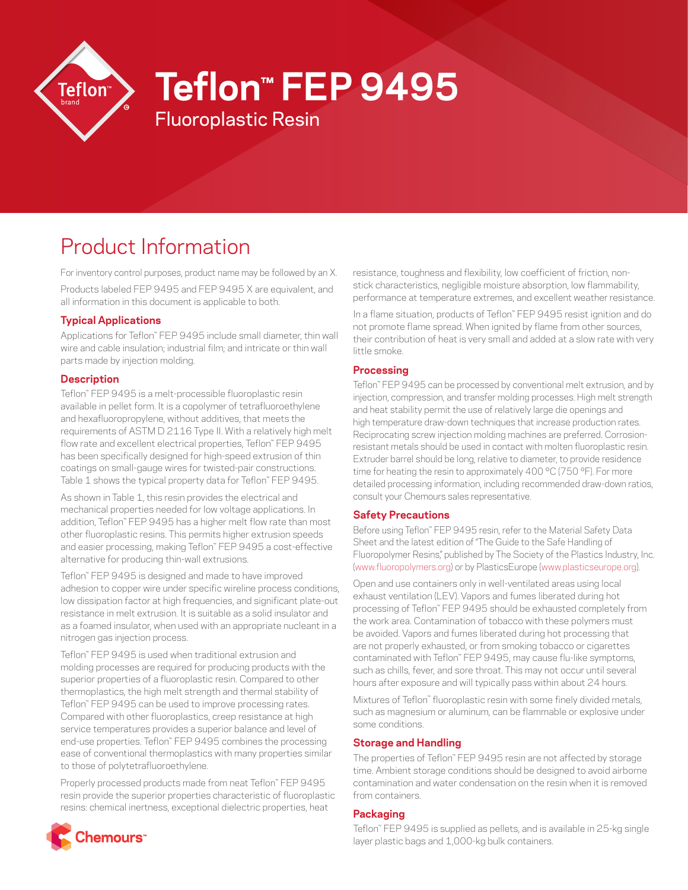

# **Teflon™ FEP 9495**

# Product Information

For inventory control purposes, product name may be followed by an X. Products labeled FEP 9495 and FEP 9495 X are equivalent, and all information in this document is applicable to both.

Fluoroplastic Resin

## **Typical Applications**

Applications for Teflon™ FEP 9495 include small diameter, thin wall wire and cable insulation; industrial film; and intricate or thin wall parts made by injection molding.

#### **Description**

Teflon™ FEP 9495 is a melt-processible fluoroplastic resin available in pellet form. It is a copolymer of tetrafluoroethylene and hexafluoropropylene, without additives, that meets the requirements of ASTM D 2116 Type II. With a relatively high melt flow rate and excellent electrical properties, Teflon™ FEP 9495 has been specifically designed for high-speed extrusion of thin coatings on small-gauge wires for twisted-pair constructions. Table 1 shows the typical property data for Teflon™ FEP 9495.

As shown in Table 1, this resin provides the electrical and mechanical properties needed for low voltage applications. In addition, Teflon™ FEP 9495 has a higher melt flow rate than most other fluoroplastic resins. This permits higher extrusion speeds and easier processing, making Teflon™ FEP 9495 a cost-effective alternative for producing thin-wall extrusions.

Teflon™ FEP 9495 is designed and made to have improved adhesion to copper wire under specific wireline process conditions, low dissipation factor at high frequencies, and significant plate-out resistance in melt extrusion. It is suitable as a solid insulator and as a foamed insulator, when used with an appropriate nucleant in a nitrogen gas injection process.

Teflon™ FEP 9495 is used when traditional extrusion and molding processes are required for producing products with the superior properties of a fluoroplastic resin. Compared to other thermoplastics, the high melt strength and thermal stability of Teflon™ FEP 9495 can be used to improve processing rates. Compared with other fluoroplastics, creep resistance at high service temperatures provides a superior balance and level of end-use properties. Teflon™ FEP 9495 combines the processing ease of conventional thermoplastics with many properties similar to those of polytetrafluoroethylene.

Properly processed products made from neat Teflon™ FEP 9495 resin provide the superior properties characteristic of fluoroplastic resins: chemical inertness, exceptional dielectric properties, heat

resistance, toughness and flexibility, low coefficient of friction, nonstick characteristics, negligible moisture absorption, low flammability, performance at temperature extremes, and excellent weather resistance.

In a flame situation, products of Teflon™ FEP 9495 resist ignition and do not promote flame spread. When ignited by flame from other sources, their contribution of heat is very small and added at a slow rate with very little smoke.

## **Processing**

Teflon™ FEP 9495 can be processed by conventional melt extrusion, and by injection, compression, and transfer molding processes. High melt strength and heat stability permit the use of relatively large die openings and high temperature draw-down techniques that increase production rates. Reciprocating screw injection molding machines are preferred. Corrosionresistant metals should be used in contact with molten fluoroplastic resin. Extruder barrel should be long, relative to diameter, to provide residence time for heating the resin to approximately 400 °C (750 °F). For more detailed processing information, including recommended draw-down ratios, consult your Chemours sales representative.

#### **Safety Precautions**

Before using Teflon™ FEP 9495 resin, refer to the Material Safety Data Sheet and the latest edition of "The Guide to the Safe Handling of Fluoropolymer Resins," published by The Society of the Plastics Industry, Inc. [\(www.fluoropolymers.org](http://www.fluoropolymers.org)) or by PlasticsEurope ([www.plasticseurope.org\)](http://www.plasticseurope.org).

Open and use containers only in well-ventilated areas using local exhaust ventilation (LEV). Vapors and fumes liberated during hot processing of Teflon™ FEP 9495 should be exhausted completely from the work area. Contamination of tobacco with these polymers must be avoided. Vapors and fumes liberated during hot processing that are not properly exhausted, or from smoking tobacco or cigarettes contaminated with Teflon™ FEP 9495, may cause flu-like symptoms, such as chills, fever, and sore throat. This may not occur until several hours after exposure and will typically pass within about 24 hours.

Mixtures of Teflon™ fluoroplastic resin with some finely divided metals, such as magnesium or aluminum, can be flammable or explosive under some conditions.

#### **Storage and Handling**

The properties of Teflon™ FEP 9495 resin are not affected by storage time. Ambient storage conditions should be designed to avoid airborne contamination and water condensation on the resin when it is removed from containers.

#### **Packaging**

Teflon™ FEP 9495 is supplied as pellets, and is available in 25-kg single layer plastic bags and 1,000-kg bulk containers.